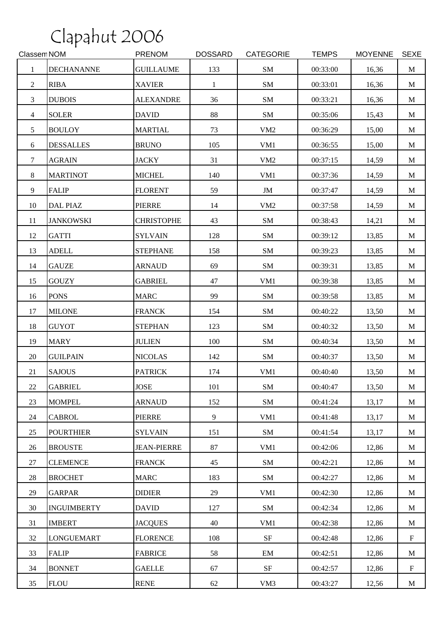| Classem NOM    |                    | <b>PRENOM</b>      | <b>DOSSARD</b> | CATEGORIE       | <b>TEMPS</b> | <b>MOYENNE</b> | <b>SEXE</b> |
|----------------|--------------------|--------------------|----------------|-----------------|--------------|----------------|-------------|
| 1              | <b>DECHANANNE</b>  | <b>GUILLAUME</b>   | 133            | SM              | 00:33:00     | 16,36          | $\mathbf M$ |
| $\overline{2}$ | <b>RIBA</b>        | <b>XAVIER</b>      | $\mathbf{1}$   | SM              | 00:33:01     | 16,36          | M           |
| 3              | <b>DUBOIS</b>      | <b>ALEXANDRE</b>   | 36             | SM              | 00:33:21     | 16,36          | M           |
| $\overline{4}$ | <b>SOLER</b>       | <b>DAVID</b>       | 88             | SM              | 00:35:06     | 15,43          | M           |
| 5              | <b>BOULOY</b>      | <b>MARTIAL</b>     | 73             | VM <sub>2</sub> | 00:36:29     | 15,00          | M           |
| 6              | <b>DESSALLES</b>   | <b>BRUNO</b>       | 105            | VM1             | 00:36:55     | 15,00          | M           |
| $\tau$         | <b>AGRAIN</b>      | <b>JACKY</b>       | 31             | VM <sub>2</sub> | 00:37:15     | 14,59          | M           |
| 8              | <b>MARTINOT</b>    | <b>MICHEL</b>      | 140            | VM1             | 00:37:36     | 14,59          | M           |
| 9              | <b>FALIP</b>       | <b>FLORENT</b>     | 59             | JM              | 00:37:47     | 14,59          | M           |
| 10             | DAL PIAZ           | <b>PIERRE</b>      | 14             | VM <sub>2</sub> | 00:37:58     | 14,59          | M           |
| 11             | <b>JANKOWSKI</b>   | <b>CHRISTOPHE</b>  | 43             | SM              | 00:38:43     | 14,21          | M           |
| 12             | <b>GATTI</b>       | <b>SYLVAIN</b>     | 128            | SM              | 00:39:12     | 13,85          | M           |
| 13             | <b>ADELL</b>       | <b>STEPHANE</b>    | 158            | SM              | 00:39:23     | 13,85          | M           |
| 14             | <b>GAUZE</b>       | <b>ARNAUD</b>      | 69             | SM              | 00:39:31     | 13,85          | M           |
| 15             | <b>GOUZY</b>       | <b>GABRIEL</b>     | 47             | VM1             | 00:39:38     | 13,85          | M           |
| 16             | <b>PONS</b>        | <b>MARC</b>        | 99             | SM              | 00:39:58     | 13,85          | M           |
| 17             | <b>MILONE</b>      | <b>FRANCK</b>      | 154            | SM              | 00:40:22     | 13,50          | $\mathbf M$ |
| 18             | <b>GUYOT</b>       | <b>STEPHAN</b>     | 123            | ${\bf SM}$      | 00:40:32     | 13,50          | M           |
| 19             | <b>MARY</b>        | <b>JULIEN</b>      | 100            | SM              | 00:40:34     | 13,50          | M           |
| 20             | <b>GUILPAIN</b>    | <b>NICOLAS</b>     | 142            | SM              | 00:40:37     | 13,50          | M           |
| 21             | <b>SAJOUS</b>      | <b>PATRICK</b>     | 174            | VM1             | 00:40:40     | 13,50          | M           |
| 22             | <b>GABRIEL</b>     | <b>JOSE</b>        | 101            | SM              | 00:40:47     | 13,50          | M           |
| 23             | <b>MOMPEL</b>      | <b>ARNAUD</b>      | 152            | SM              | 00:41:24     | 13,17          | M           |
| 24             | <b>CABROL</b>      | PIERRE             | 9              | VM1             | 00:41:48     | 13,17          | M           |
| 25             | <b>POURTHIER</b>   | <b>SYLVAIN</b>     | 151            | SM              | 00:41:54     | 13,17          | M           |
| 26             | <b>BROUSTE</b>     | <b>JEAN-PIERRE</b> | 87             | VM1             | 00:42:06     | 12,86          | M           |
| 27             | <b>CLEMENCE</b>    | <b>FRANCK</b>      | 45             | SM              | 00:42:21     | 12,86          | M           |
| 28             | <b>BROCHET</b>     | <b>MARC</b>        | 183            | SM              | 00:42:27     | 12,86          | $\mathbf M$ |
| 29             | <b>GARPAR</b>      | <b>DIDIER</b>      | 29             | VM1             | 00:42:30     | 12,86          | M           |
| 30             | <b>INGUIMBERTY</b> | <b>DAVID</b>       | 127            | SM              | 00:42:34     | 12,86          | M           |
| 31             | <b>IMBERT</b>      | <b>JACQUES</b>     | 40             | VM1             | 00:42:38     | 12,86          | M           |
| 32             | <b>LONGUEMART</b>  | <b>FLORENCE</b>    | 108            | $\rm{SF}$       | 00:42:48     | 12,86          | $\mathbf F$ |
| 33             | <b>FALIP</b>       | <b>FABRICE</b>     | 58             | EM              | 00:42:51     | 12,86          | M           |
| 34             | <b>BONNET</b>      | <b>GAELLE</b>      | 67             | $\rm{SF}$       | 00:42:57     | 12,86          | $\mathbf F$ |
| 35             | <b>FLOU</b>        | <b>RENE</b>        | 62             | VM <sub>3</sub> | 00:43:27     | 12,56          | M           |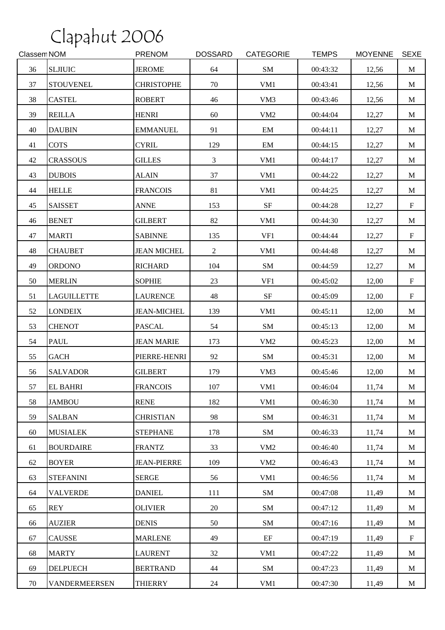| Classem NOM |                      | <b>PRENOM</b>      | <b>DOSSARD</b> | <b>CATEGORIE</b> | <b>TEMPS</b> | <b>MOYENNE</b> | <b>SEXE</b> |
|-------------|----------------------|--------------------|----------------|------------------|--------------|----------------|-------------|
| 36          | <b>SLJIUIC</b>       | <b>JEROME</b>      | 64             | SM               | 00:43:32     | 12,56          | M           |
| 37          | <b>STOUVENEL</b>     | <b>CHRISTOPHE</b>  | 70             | VM1              | 00:43:41     | 12,56          | M           |
| 38          | <b>CASTEL</b>        | <b>ROBERT</b>      | 46             | VM3              | 00:43:46     | 12,56          | M           |
| 39          | <b>REILLA</b>        | <b>HENRI</b>       | 60             | VM <sub>2</sub>  | 00:44:04     | 12,27          | M           |
| 40          | <b>DAUBIN</b>        | <b>EMMANUEL</b>    | 91             | EM               | 00:44:11     | 12,27          | M           |
| 41          | <b>COTS</b>          | <b>CYRIL</b>       | 129            | EM               | 00:44:15     | 12,27          | M           |
| 42          | <b>CRASSOUS</b>      | <b>GILLES</b>      | $\mathfrak{Z}$ | VM1              | 00:44:17     | 12,27          | M           |
| 43          | <b>DUBOIS</b>        | <b>ALAIN</b>       | 37             | VM1              | 00:44:22     | 12,27          | M           |
| 44          | <b>HELLE</b>         | <b>FRANCOIS</b>    | 81             | VM1              | 00:44:25     | 12,27          | M           |
| 45          | <b>SAISSET</b>       | <b>ANNE</b>        | 153            | $\rm{SF}$        | 00:44:28     | 12,27          | $\mathbf F$ |
| 46          | <b>BENET</b>         | <b>GILBERT</b>     | 82             | VM1              | 00:44:30     | 12,27          | M           |
| 47          | <b>MARTI</b>         | <b>SABINNE</b>     | 135            | VF1              | 00:44:44     | 12,27          | $\mathbf F$ |
| 48          | <b>CHAUBET</b>       | <b>JEAN MICHEL</b> | $\overline{2}$ | VM1              | 00:44:48     | 12,27          | M           |
| 49          | <b>ORDONO</b>        | <b>RICHARD</b>     | 104            | ${\bf SM}$       | 00:44:59     | 12,27          | M           |
| 50          | <b>MERLIN</b>        | <b>SOPHIE</b>      | 23             | VF1              | 00:45:02     | 12,00          | $\mathbf F$ |
| 51          | <b>LAGUILLETTE</b>   | <b>LAURENCE</b>    | 48             | $\rm{SF}$        | 00:45:09     | 12,00          | $\mathbf F$ |
| 52          | <b>LONDEIX</b>       | <b>JEAN-MICHEL</b> | 139            | VM1              | 00:45:11     | 12,00          | M           |
| 53          | <b>CHENOT</b>        | <b>PASCAL</b>      | 54             | SM               | 00:45:13     | 12,00          | M           |
| 54          | PAUL                 | <b>JEAN MARIE</b>  | 173            | VM <sub>2</sub>  | 00:45:23     | 12,00          | M           |
| 55          | <b>GACH</b>          | PIERRE-HENRI       | 92             | SM               | 00:45:31     | 12,00          | M           |
| 56          | <b>SALVADOR</b>      | <b>GILBERT</b>     | 179            | VM3              | 00:45:46     | 12,00          | M           |
| 57          | <b>EL BAHRI</b>      | <b>FRANCOIS</b>    | 107            | VM1              | 00:46:04     | 11,74          | $\mathbf M$ |
| 58          | <b>JAMBOU</b>        | <b>RENE</b>        | 182            | VM1              | 00:46:30     | 11,74          | M           |
| 59          | <b>SALBAN</b>        | <b>CHRISTIAN</b>   | 98             | SM               | 00:46:31     | 11,74          | M           |
| 60          | <b>MUSIALEK</b>      | <b>STEPHANE</b>    | 178            | SM               | 00:46:33     | 11,74          | M           |
| 61          | <b>BOURDAIRE</b>     | <b>FRANTZ</b>      | 33             | VM <sub>2</sub>  | 00:46:40     | 11,74          | M           |
| 62          | <b>BOYER</b>         | <b>JEAN-PIERRE</b> | 109            | VM <sub>2</sub>  | 00:46:43     | 11,74          | M           |
| 63          | <b>STEFANINI</b>     | <b>SERGE</b>       | 56             | VM1              | 00:46:56     | 11,74          | M           |
| 64          | <b>VALVERDE</b>      | <b>DANIEL</b>      | 111            | SM               | 00:47:08     | 11,49          | M           |
| 65          | <b>REY</b>           | <b>OLIVIER</b>     | 20             | SM               | 00:47:12     | 11,49          | M           |
| 66          | <b>AUZIER</b>        | <b>DENIS</b>       | 50             | SM               | 00:47:16     | 11,49          | M           |
| 67          | <b>CAUSSE</b>        | <b>MARLENE</b>     | 49             | $\rm EF$         | 00:47:19     | 11,49          | $\mathbf F$ |
| 68          | <b>MARTY</b>         | <b>LAURENT</b>     | 32             | VM1              | 00:47:22     | 11,49          | M           |
| 69          | <b>DELPUECH</b>      | <b>BERTRAND</b>    | 44             | SM               | 00:47:23     | 11,49          | M           |
| 70          | <b>VANDERMEERSEN</b> | <b>THIERRY</b>     | 24             | VM1              | 00:47:30     | 11,49          | M           |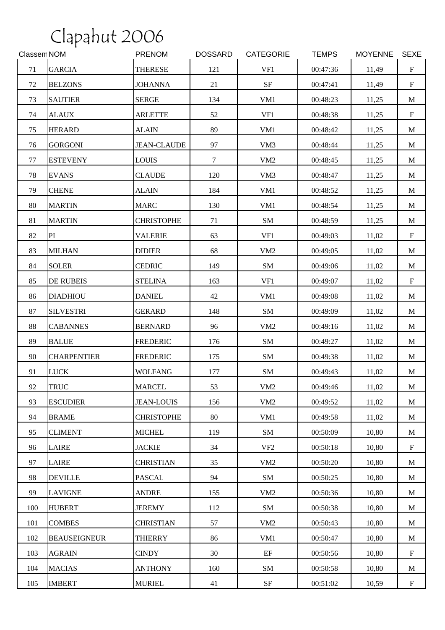| Classem NOM |                     | PRENOM             | <b>DOSSARD</b> | <b>CATEGORIE</b> | <b>TEMPS</b> | <b>MOYENNE</b> | <b>SEXE</b>               |
|-------------|---------------------|--------------------|----------------|------------------|--------------|----------------|---------------------------|
| 71          | <b>GARCIA</b>       | <b>THERESE</b>     | 121            | VF1              | 00:47:36     | 11,49          | $\boldsymbol{\mathrm{F}}$ |
| 72          | <b>BELZONS</b>      | <b>JOHANNA</b>     | 21             | $\rm{SF}$        | 00:47:41     | 11,49          | $\mathbf F$               |
| 73          | <b>SAUTIER</b>      | <b>SERGE</b>       | 134            | VM1              | 00:48:23     | 11,25          | M                         |
| 74          | <b>ALAUX</b>        | <b>ARLETTE</b>     | 52             | VF1              | 00:48:38     | 11,25          | $\mathbf F$               |
| 75          | <b>HERARD</b>       | <b>ALAIN</b>       | 89             | VM1              | 00:48:42     | 11,25          | M                         |
| 76          | <b>GORGONI</b>      | <b>JEAN-CLAUDE</b> | 97             | VM3              | 00:48:44     | 11,25          | M                         |
| 77          | <b>ESTEVENY</b>     | <b>LOUIS</b>       | $\tau$         | VM <sub>2</sub>  | 00:48:45     | 11,25          | M                         |
| 78          | <b>EVANS</b>        | <b>CLAUDE</b>      | 120            | VM3              | 00:48:47     | 11,25          | M                         |
| 79          | <b>CHENE</b>        | <b>ALAIN</b>       | 184            | VM1              | 00:48:52     | 11,25          | M                         |
| 80          | <b>MARTIN</b>       | <b>MARC</b>        | 130            | VM1              | 00:48:54     | 11,25          | M                         |
| 81          | <b>MARTIN</b>       | <b>CHRISTOPHE</b>  | 71             | SM               | 00:48:59     | 11,25          | M                         |
| 82          | PI                  | <b>VALERIE</b>     | 63             | VF1              | 00:49:03     | 11,02          | $\mathbf F$               |
| 83          | <b>MILHAN</b>       | <b>DIDIER</b>      | 68             | VM <sub>2</sub>  | 00:49:05     | 11,02          | M                         |
| 84          | <b>SOLER</b>        | <b>CEDRIC</b>      | 149            | SM               | 00:49:06     | 11,02          | M                         |
| 85          | <b>DE RUBEIS</b>    | <b>STELINA</b>     | 163            | VF1              | 00:49:07     | 11,02          | $\mathbf F$               |
| 86          | <b>DIADHIOU</b>     | <b>DANIEL</b>      | 42             | VM1              | 00:49:08     | 11,02          | M                         |
| 87          | <b>SILVESTRI</b>    | <b>GERARD</b>      | 148            | SM               | 00:49:09     | 11,02          | $\mathbf M$               |
| 88          | <b>CABANNES</b>     | <b>BERNARD</b>     | 96             | VM <sub>2</sub>  | 00:49:16     | 11,02          | M                         |
| 89          | <b>BALUE</b>        | <b>FREDERIC</b>    | 176            | SM               | 00:49:27     | 11,02          | M                         |
| 90          | <b>CHARPENTIER</b>  | <b>FREDERIC</b>    | 175            | SM               | 00:49:38     | 11,02          | M                         |
| 91          | <b>LUCK</b>         | <b>WOLFANG</b>     | 177            | SM               | 00:49:43     | 11,02          | M                         |
| 92          | <b>TRUC</b>         | <b>MARCEL</b>      | 53             | VM <sub>2</sub>  | 00:49:46     | 11,02          | $\mathbf M$               |
| 93          | <b>ESCUDIER</b>     | <b>JEAN-LOUIS</b>  | 156            | VM2              | 00:49:52     | 11,02          | M                         |
| 94          | <b>BRAME</b>        | <b>CHRISTOPHE</b>  | 80             | VM1              | 00:49:58     | 11,02          | M                         |
| 95          | <b>CLIMENT</b>      | <b>MICHEL</b>      | 119            | SM               | 00:50:09     | 10,80          | M                         |
| 96          | <b>LAIRE</b>        | <b>JACKIE</b>      | 34             | VF <sub>2</sub>  | 00:50:18     | 10,80          | $\mathbf F$               |
| 97          | LAIRE               | <b>CHRISTIAN</b>   | 35             | VM <sub>2</sub>  | 00:50:20     | 10,80          | M                         |
| 98          | <b>DEVILLE</b>      | <b>PASCAL</b>      | 94             | SM               | 00:50:25     | 10,80          | $\mathbf M$               |
| 99          | <b>LAVIGNE</b>      | <b>ANDRE</b>       | 155            | VM <sub>2</sub>  | 00:50:36     | 10,80          | M                         |
| 100         | <b>HUBERT</b>       | <b>JEREMY</b>      | 112            | SM               | 00:50:38     | 10,80          | M                         |
| 101         | <b>COMBES</b>       | <b>CHRISTIAN</b>   | 57             | VM <sub>2</sub>  | 00:50:43     | 10,80          | M                         |
| 102         | <b>BEAUSEIGNEUR</b> | <b>THIERRY</b>     | 86             | VM1              | 00:50:47     | 10,80          | M                         |
| 103         | <b>AGRAIN</b>       | <b>CINDY</b>       | 30             | $\rm EF$         | 00:50:56     | 10,80          | $\mathbf F$               |
| 104         | <b>MACIAS</b>       | <b>ANTHONY</b>     | 160            | SM               | 00:50:58     | 10,80          | M                         |
| 105         | <b>IMBERT</b>       | <b>MURIEL</b>      | 41             | $\rm{SF}$        | 00:51:02     | 10,59          | $\mathbf F$               |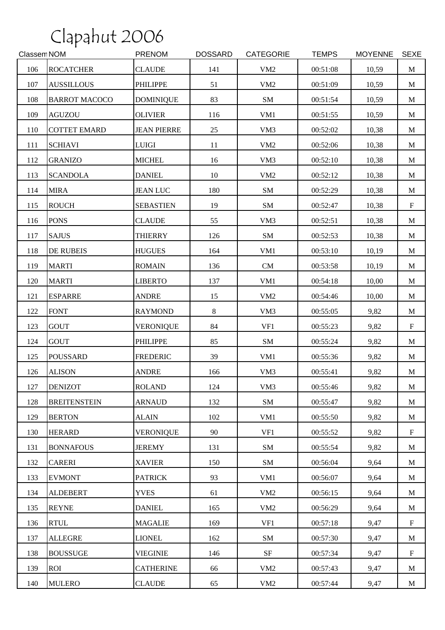| Classem NOM |                      | <b>PRENOM</b>      | <b>DOSSARD</b> | <b>CATEGORIE</b> | <b>TEMPS</b> | <b>MOYENNE</b> | <b>SEXE</b> |
|-------------|----------------------|--------------------|----------------|------------------|--------------|----------------|-------------|
| 106         | <b>ROCATCHER</b>     | <b>CLAUDE</b>      | 141            | VM <sub>2</sub>  | 00:51:08     | 10,59          | $\mathbf M$ |
| 107         | <b>AUSSILLOUS</b>    | <b>PHILIPPE</b>    | 51             | VM <sub>2</sub>  | 00:51:09     | 10,59          | M           |
| 108         | <b>BARROT MACOCO</b> | <b>DOMINIQUE</b>   | 83             | SM               | 00:51:54     | 10,59          | M           |
| 109         | <b>AGUZOU</b>        | <b>OLIVIER</b>     | 116            | VM1              | 00:51:55     | 10,59          | M           |
| 110         | <b>COTTET EMARD</b>  | <b>JEAN PIERRE</b> | 25             | VM3              | 00:52:02     | 10,38          | M           |
| 111         | <b>SCHIAVI</b>       | <b>LUIGI</b>       | 11             | VM <sub>2</sub>  | 00:52:06     | 10,38          | M           |
| 112         | <b>GRANIZO</b>       | <b>MICHEL</b>      | 16             | VM3              | 00:52:10     | 10,38          | M           |
| 113         | <b>SCANDOLA</b>      | <b>DANIEL</b>      | 10             | VM <sub>2</sub>  | 00:52:12     | 10,38          | M           |
| 114         | <b>MIRA</b>          | <b>JEAN LUC</b>    | 180            | SM               | 00:52:29     | 10,38          | $\mathbf M$ |
| 115         | <b>ROUCH</b>         | <b>SEBASTIEN</b>   | 19             | SM               | 00:52:47     | 10,38          | $\mathbf F$ |
| 116         | <b>PONS</b>          | <b>CLAUDE</b>      | 55             | VM3              | 00:52:51     | 10,38          | M           |
| 117         | <b>SAJUS</b>         | <b>THIERRY</b>     | 126            | ${\bf SM}$       | 00:52:53     | 10,38          | M           |
| 118         | <b>DE RUBEIS</b>     | <b>HUGUES</b>      | 164            | VM1              | 00:53:10     | 10,19          | M           |
| 119         | <b>MARTI</b>         | <b>ROMAIN</b>      | 136            | CM               | 00:53:58     | 10,19          | M           |
| 120         | <b>MARTI</b>         | <b>LIBERTO</b>     | 137            | VM1              | 00:54:18     | 10,00          | M           |
| 121         | <b>ESPARRE</b>       | <b>ANDRE</b>       | 15             | VM <sub>2</sub>  | 00:54:46     | 10,00          | M           |
| 122         | <b>FONT</b>          | <b>RAYMOND</b>     | $8\,$          | VM3              | 00:55:05     | 9,82           | M           |
| 123         | <b>GOUT</b>          | <b>VERONIQUE</b>   | 84             | VF1              | 00:55:23     | 9,82           | $\mathbf F$ |
| 124         | <b>GOUT</b>          | <b>PHILIPPE</b>    | 85             | SM               | 00:55:24     | 9,82           | M           |
| 125         | <b>POUSSARD</b>      | <b>FREDERIC</b>    | 39             | VM1              | 00:55:36     | 9,82           | $\mathbf M$ |
| 126         | <b>ALISON</b>        | <b>ANDRE</b>       | 166            | VM3              | 00:55:41     | 9,82           | M           |
| 127         | <b>DENIZOT</b>       | <b>ROLAND</b>      | 124            | VM3              | 00:55:46     | 9,82           | M           |
| 128         | <b>BREITENSTEIN</b>  | <b>ARNAUD</b>      | 132            | SM               | 00:55:47     | 9,82           | M           |
| 129         | <b>BERTON</b>        | <b>ALAIN</b>       | 102            | VM1              | 00:55:50     | 9,82           | M           |
| 130         | <b>HERARD</b>        | <b>VERONIQUE</b>   | 90             | VF1              | 00:55:52     | 9,82           | $\mathbf F$ |
| 131         | <b>BONNAFOUS</b>     | <b>JEREMY</b>      | 131            | SM               | 00:55:54     | 9,82           | M           |
| 132         | <b>CARERI</b>        | <b>XAVIER</b>      | 150            | SM               | 00:56:04     | 9,64           | M           |
| 133         | <b>EVMONT</b>        | <b>PATRICK</b>     | 93             | VM1              | 00:56:07     | 9,64           | M           |
| 134         | <b>ALDEBERT</b>      | <b>YVES</b>        | 61             | VM2              | 00:56:15     | 9,64           | M           |
| 135         | <b>REYNE</b>         | <b>DANIEL</b>      | 165            | VM <sub>2</sub>  | 00:56:29     | 9,64           | M           |
| 136         | <b>RTUL</b>          | <b>MAGALIE</b>     | 169            | VF1              | 00:57:18     | 9,47           | $\mathbf F$ |
| 137         | <b>ALLEGRE</b>       | <b>LIONEL</b>      | 162            | SM               | 00:57:30     | 9,47           | M           |
| 138         | <b>BOUSSUGE</b>      | <b>VIEGINIE</b>    | 146            | $\rm{SF}$        | 00:57:34     | 9,47           | $\mathbf F$ |
| 139         | <b>ROI</b>           | <b>CATHERINE</b>   | 66             | VM <sub>2</sub>  | 00:57:43     | 9,47           | M           |
| 140         | <b>MULERO</b>        | <b>CLAUDE</b>      | 65             | VM2              | 00:57:44     | 9,47           | M           |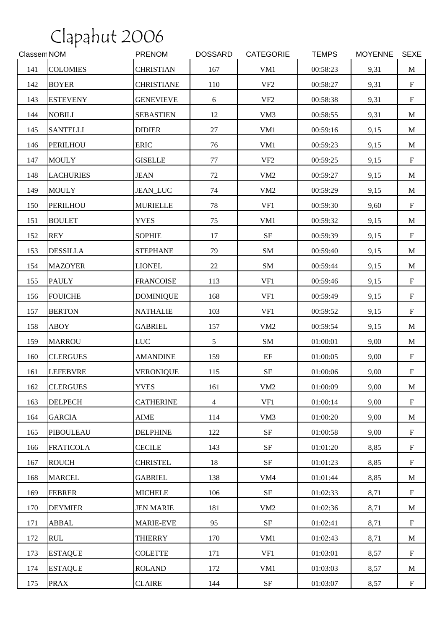| Classem NOM |                  | <b>PRENOM</b>     | <b>DOSSARD</b> | <b>CATEGORIE</b> | <b>TEMPS</b> | <b>MOYENNE</b> | <b>SEXE</b>               |
|-------------|------------------|-------------------|----------------|------------------|--------------|----------------|---------------------------|
| 141         | <b>COLOMIES</b>  | <b>CHRISTIAN</b>  | 167            | VM1              | 00:58:23     | 9,31           | $\mathbf M$               |
| 142         | <b>BOYER</b>     | <b>CHRISTIANE</b> | 110            | VF <sub>2</sub>  | 00:58:27     | 9,31           | $\boldsymbol{\mathrm{F}}$ |
| 143         | <b>ESTEVENY</b>  | <b>GENEVIEVE</b>  | 6              | VF <sub>2</sub>  | 00:58:38     | 9,31           | $\mathbf F$               |
| 144         | <b>NOBILI</b>    | <b>SEBASTIEN</b>  | 12             | VM3              | 00:58:55     | 9,31           | $\mathbf{M}$              |
| 145         | <b>SANTELLI</b>  | <b>DIDIER</b>     | $27\,$         | VM1              | 00:59:16     | 9,15           | M                         |
| 146         | <b>PERILHOU</b>  | <b>ERIC</b>       | 76             | VM1              | 00:59:23     | 9,15           | M                         |
| 147         | <b>MOULY</b>     | <b>GISELLE</b>    | $77\,$         | VF <sub>2</sub>  | 00:59:25     | 9,15           | $\mathbf F$               |
| 148         | <b>LACHURIES</b> | <b>JEAN</b>       | $72\,$         | VM <sub>2</sub>  | 00:59:27     | 9,15           | M                         |
| 149         | <b>MOULY</b>     | <b>JEAN_LUC</b>   | 74             | VM <sub>2</sub>  | 00:59:29     | 9,15           | M                         |
| 150         | <b>PERILHOU</b>  | <b>MURIELLE</b>   | 78             | VF1              | 00:59:30     | 9,60           | $\mathbf F$               |
| 151         | <b>BOULET</b>    | <b>YVES</b>       | 75             | VM1              | 00:59:32     | 9,15           | M                         |
| 152         | <b>REY</b>       | <b>SOPHIE</b>     | 17             | $\rm{SF}$        | 00:59:39     | 9,15           | $\mathbf F$               |
| 153         | <b>DESSILLA</b>  | <b>STEPHANE</b>   | 79             | SM               | 00:59:40     | 9,15           | M                         |
| 154         | <b>MAZOYER</b>   | <b>LIONEL</b>     | 22             | SM               | 00:59:44     | 9,15           | M                         |
| 155         | <b>PAULY</b>     | <b>FRANCOISE</b>  | 113            | VF1              | 00:59:46     | 9,15           | $\boldsymbol{\mathrm{F}}$ |
| 156         | <b>FOUICHE</b>   | <b>DOMINIQUE</b>  | 168            | VF1              | 00:59:49     | 9,15           | $\boldsymbol{\mathrm{F}}$ |
| 157         | <b>BERTON</b>    | <b>NATHALIE</b>   | 103            | VF1              | 00:59:52     | 9,15           | $\mathbf F$               |
| 158         | <b>ABOY</b>      | <b>GABRIEL</b>    | 157            | VM <sub>2</sub>  | 00:59:54     | 9,15           | M                         |
| 159         | <b>MARROU</b>    | <b>LUC</b>        | 5              | ${\bf SM}$       | 01:00:01     | 9,00           | M                         |
| 160         | <b>CLERGUES</b>  | <b>AMANDINE</b>   | 159            | EF               | 01:00:05     | 9,00           | $\mathbf F$               |
| 161         | <b>LEFEBVRE</b>  | <b>VERONIQUE</b>  | 115            | $\rm{SF}$        | 01:00:06     | 9,00           | $\boldsymbol{\mathrm{F}}$ |
| 162         | <b>CLERGUES</b>  | <b>YVES</b>       | 161            | VM2              | 01:00:09     | 9,00           | M                         |
| 163         | <b>DELPECH</b>   | <b>CATHERINE</b>  | $\overline{4}$ | VF1              | 01:00:14     | 9,00           | $\boldsymbol{\mathrm{F}}$ |
| 164         | <b>GARCIA</b>    | <b>AIME</b>       | 114            | VM <sub>3</sub>  | 01:00:20     | 9,00           | M                         |
| 165         | <b>PIBOULEAU</b> | <b>DELPHINE</b>   | 122            | $\rm{SF}$        | 01:00:58     | 9,00           | $\mathbf F$               |
| 166         | <b>FRATICOLA</b> | <b>CECILE</b>     | 143            | SF               | 01:01:20     | 8,85           | $\boldsymbol{\mathrm{F}}$ |
| 167         | <b>ROUCH</b>     | <b>CHRISTEL</b>   | 18             | $\rm{SF}$        | 01:01:23     | 8,85           | $\mathbf F$               |
| 168         | <b>MARCEL</b>    | <b>GABRIEL</b>    | 138            | VM <sub>4</sub>  | 01:01:44     | 8,85           | M                         |
| 169         | <b>FEBRER</b>    | <b>MICHELE</b>    | 106            | $\rm{SF}$        | 01:02:33     | 8,71           | $\mathbf F$               |
| 170         | <b>DEYMIER</b>   | <b>JEN MARIE</b>  | 181            | VM <sub>2</sub>  | 01:02:36     | 8,71           | M                         |
| 171         | ABBAL            | <b>MARIE-EVE</b>  | 95             | $\rm{SF}$        | 01:02:41     | 8,71           | $\mathbf F$               |
| 172         | <b>RUL</b>       | <b>THIERRY</b>    | 170            | VM1              | 01:02:43     | 8,71           | $\mathbf M$               |
| 173         | <b>ESTAQUE</b>   | <b>COLETTE</b>    | 171            | VF1              | 01:03:01     | 8,57           | $\mathbf F$               |
| 174         | <b>ESTAQUE</b>   | <b>ROLAND</b>     | 172            | VM1              | 01:03:03     | 8,57           | M                         |
| 175         | <b>PRAX</b>      | <b>CLAIRE</b>     | 144            | $\rm{SF}$        | 01:03:07     | 8,57           | $\mathbf F$               |